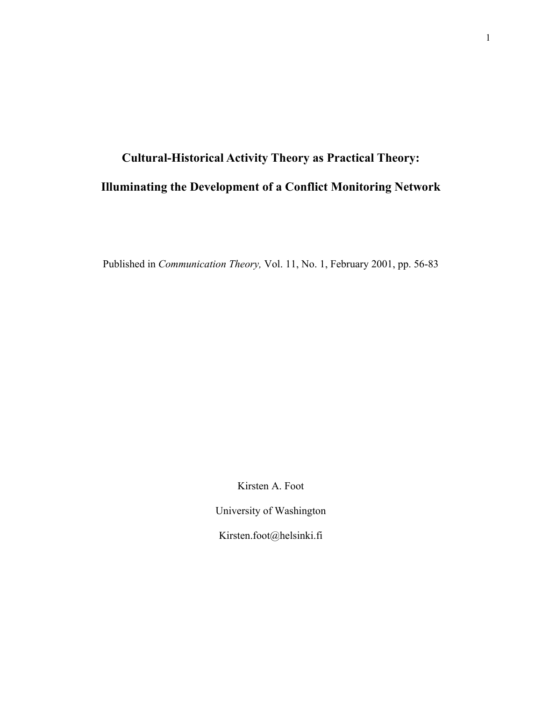# **Cultural-Historical Activity Theory as Practical Theory: Illuminating the Development of a Conflict Monitoring Network**

Published in *Communication Theory,* Vol. 11, No. 1, February 2001, pp. 56-83

Kirsten A. Foot

University of Washington

Kirsten.foot@helsinki.fi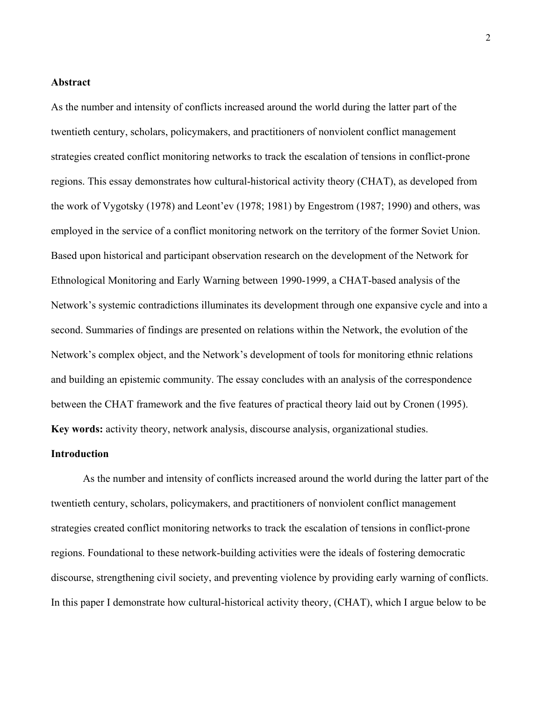### **Abstract**

As the number and intensity of conflicts increased around the world during the latter part of the twentieth century, scholars, policymakers, and practitioners of nonviolent conflict management strategies created conflict monitoring networks to track the escalation of tensions in conflict-prone regions. This essay demonstrates how cultural-historical activity theory (CHAT), as developed from the work of Vygotsky (1978) and Leont'ev (1978; 1981) by Engestrom (1987; 1990) and others, was employed in the service of a conflict monitoring network on the territory of the former Soviet Union. Based upon historical and participant observation research on the development of the Network for Ethnological Monitoring and Early Warning between 1990-1999, a CHAT-based analysis of the Network's systemic contradictions illuminates its development through one expansive cycle and into a second. Summaries of findings are presented on relations within the Network, the evolution of the Network's complex object, and the Network's development of tools for monitoring ethnic relations and building an epistemic community. The essay concludes with an analysis of the correspondence between the CHAT framework and the five features of practical theory laid out by Cronen (1995). **Key words:** activity theory, network analysis, discourse analysis, organizational studies.

## **Introduction**

 As the number and intensity of conflicts increased around the world during the latter part of the twentieth century, scholars, policymakers, and practitioners of nonviolent conflict management strategies created conflict monitoring networks to track the escalation of tensions in conflict-prone regions. Foundational to these network-building activities were the ideals of fostering democratic discourse, strengthening civil society, and preventing violence by providing early warning of conflicts. In this paper I demonstrate how cultural-historical activity theory, (CHAT), which I argue below to be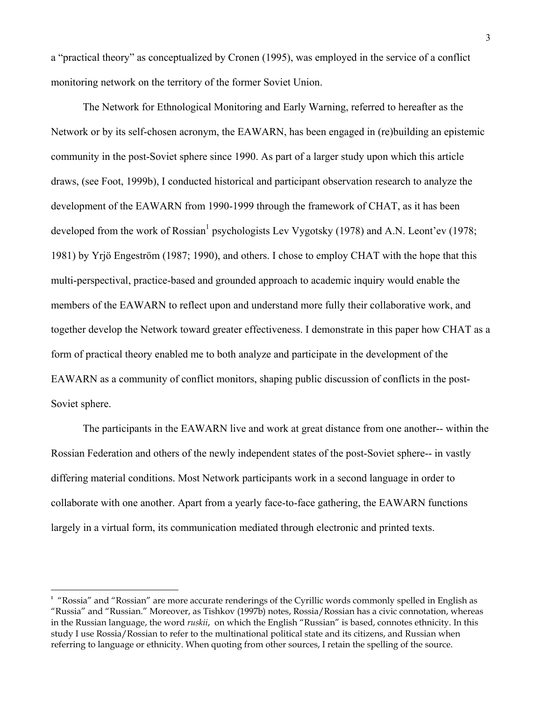a "practical theory" as conceptualized by Cronen (1995), was employed in the service of a conflict monitoring network on the territory of the former Soviet Union.

 The Network for Ethnological Monitoring and Early Warning, referred to hereafter as the Network or by its self-chosen acronym, the EAWARN, has been engaged in (re)building an epistemic community in the post-Soviet sphere since 1990. As part of a larger study upon which this article draws, (see Foot, 1999b), I conducted historical and participant observation research to analyze the development of the EAWARN from 1990-1999 through the framework of CHAT, as it has been developed from the work of Rossian<sup>[1](#page-2-0)</sup> psychologists Lev Vygotsky (1978) and A.N. Leont'ev (1978; 1981) by Yrjö Engeström (1987; 1990), and others. I chose to employ CHAT with the hope that this multi-perspectival, practice-based and grounded approach to academic inquiry would enable the members of the EAWARN to reflect upon and understand more fully their collaborative work, and together develop the Network toward greater effectiveness. I demonstrate in this paper how CHAT as a form of practical theory enabled me to both analyze and participate in the development of the EAWARN as a community of conflict monitors, shaping public discussion of conflicts in the post-Soviet sphere.

 The participants in the EAWARN live and work at great distance from one another-- within the Rossian Federation and others of the newly independent states of the post-Soviet sphere-- in vastly differing material conditions. Most Network participants work in a second language in order to collaborate with one another. Apart from a yearly face-to-face gathering, the EAWARN functions largely in a virtual form, its communication mediated through electronic and printed texts.

<span id="page-2-0"></span> **1** "Rossia" and "Rossian" are more accurate renderings of the Cyrillic words commonly spelled in English as "Russia" and "Russian." Moreover, as Tishkov (1997b) notes, Rossia/Rossian has a civic connotation, whereas in the Russian language, the word *ruskii*, on which the English "Russian" is based, connotes ethnicity. In this study I use Rossia/Rossian to refer to the multinational political state and its citizens, and Russian when referring to language or ethnicity. When quoting from other sources, I retain the spelling of the source.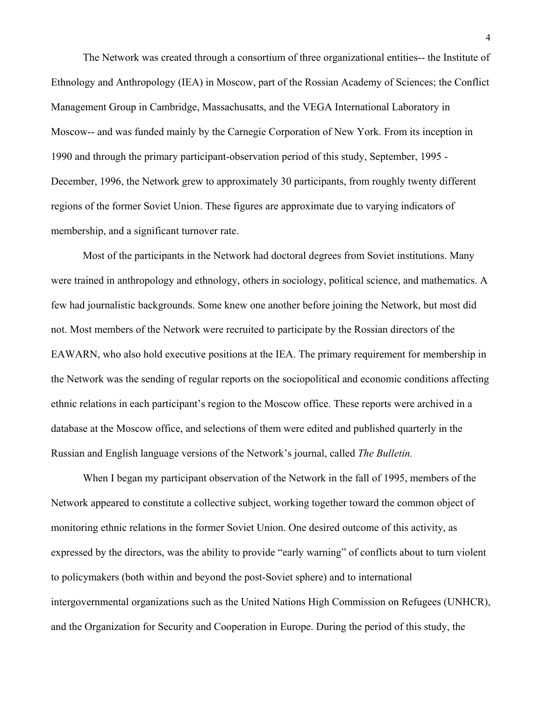The Network was created through a consortium of three organizational entities-- the Institute of Ethnology and Anthropology (IEA) in Moscow, part of the Rossian Academy of Sciences; the Conflict Management Group in Cambridge, Massachusatts, and the VEGA International Laboratory in Moscow-- and was funded mainly by the Carnegie Corporation of New York. From its inception in 1990 and through the primary participant-observation period of this study, September, 1995 - December, 1996, the Network grew to approximately 30 participants, from roughly twenty different regions of the former Soviet Union. These figures are approximate due to varying indicators of membership, and a significant turnover rate.

 Most of the participants in the Network had doctoral degrees from Soviet institutions. Many were trained in anthropology and ethnology, others in sociology, political science, and mathematics. A few had journalistic backgrounds. Some knew one another before joining the Network, but most did not. Most members of the Network were recruited to participate by the Rossian directors of the EAWARN, who also hold executive positions at the IEA. The primary requirement for membership in the Network was the sending of regular reports on the sociopolitical and economic conditions affecting ethnic relations in each participant's region to the Moscow office. These reports were archived in a database at the Moscow office, and selections of them were edited and published quarterly in the Russian and English language versions of the Network's journal, called *The Bulletin.* 

 When I began my participant observation of the Network in the fall of 1995, members of the Network appeared to constitute a collective subject, working together toward the common object of monitoring ethnic relations in the former Soviet Union. One desired outcome of this activity, as expressed by the directors, was the ability to provide "early warning" of conflicts about to turn violent to policymakers (both within and beyond the post-Soviet sphere) and to international intergovernmental organizations such as the United Nations High Commission on Refugees (UNHCR), and the Organization for Security and Cooperation in Europe. During the period of this study, the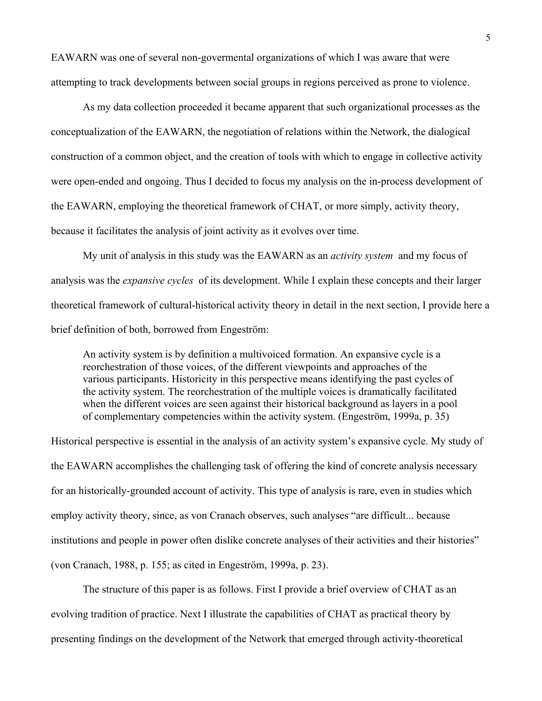EAWARN was one of several non-govermental organizations of which I was aware that were attempting to track developments between social groups in regions perceived as prone to violence.

 As my data collection proceeded it became apparent that such organizational processes as the conceptualization of the EAWARN, the negotiation of relations within the Network, the dialogical construction of a common object, and the creation of tools with which to engage in collective activity were open-ended and ongoing. Thus I decided to focus my analysis on the in-process development of the EAWARN, employing the theoretical framework of CHAT, or more simply, activity theory, because it facilitates the analysis of joint activity as it evolves over time.

 My unit of analysis in this study was the EAWARN as an *activity system* and my focus of analysis was the *expansive cycles* of its development. While I explain these concepts and their larger theoretical framework of cultural-historical activity theory in detail in the next section, I provide here a brief definition of both, borrowed from Engeström:

An activity system is by definition a multivoiced formation. An expansive cycle is a reorchestration of those voices, of the different viewpoints and approaches of the various participants. Historicity in this perspective means identifying the past cycles of the activity system. The reorchestration of the multiple voices is dramatically facilitated when the different voices are seen against their historical background as layers in a pool of complementary competencies within the activity system. (Engeström, 1999a, p. 35)

Historical perspective is essential in the analysis of an activity system's expansive cycle. My study of the EAWARN accomplishes the challenging task of offering the kind of concrete analysis necessary for an historically-grounded account of activity. This type of analysis is rare, even in studies which employ activity theory, since, as von Cranach observes, such analyses "are difficult... because institutions and people in power often dislike concrete analyses of their activities and their histories" (von Cranach, 1988, p. 155; as cited in Engeström, 1999a, p. 23).

 The structure of this paper is as follows. First I provide a brief overview of CHAT as an evolving tradition of practice. Next I illustrate the capabilities of CHAT as practical theory by presenting findings on the development of the Network that emerged through activity-theoretical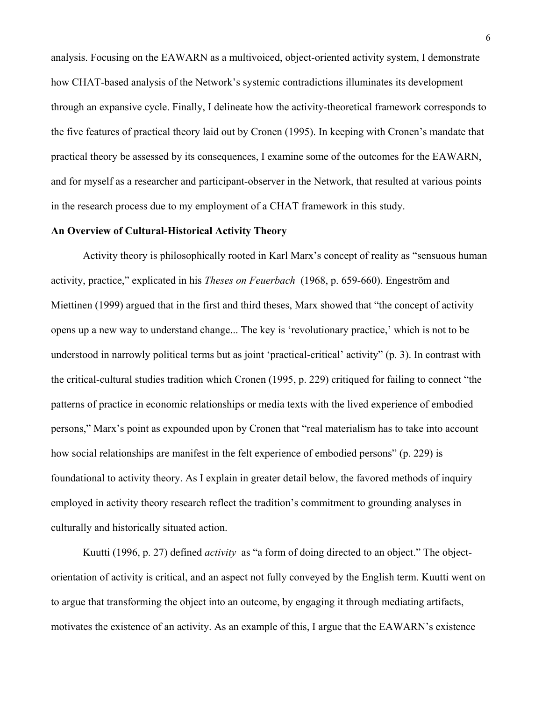analysis. Focusing on the EAWARN as a multivoiced, object-oriented activity system, I demonstrate how CHAT-based analysis of the Network's systemic contradictions illuminates its development through an expansive cycle. Finally, I delineate how the activity-theoretical framework corresponds to the five features of practical theory laid out by Cronen (1995). In keeping with Cronen's mandate that practical theory be assessed by its consequences, I examine some of the outcomes for the EAWARN, and for myself as a researcher and participant-observer in the Network, that resulted at various points in the research process due to my employment of a CHAT framework in this study.

# **An Overview of Cultural-Historical Activity Theory**

 Activity theory is philosophically rooted in Karl Marx's concept of reality as "sensuous human activity, practice," explicated in his *Theses on Feuerbach* (1968, p. 659-660). Engeström and Miettinen (1999) argued that in the first and third theses, Marx showed that "the concept of activity opens up a new way to understand change... The key is 'revolutionary practice,' which is not to be understood in narrowly political terms but as joint 'practical-critical' activity" (p. 3). In contrast with the critical-cultural studies tradition which Cronen (1995, p. 229) critiqued for failing to connect "the patterns of practice in economic relationships or media texts with the lived experience of embodied persons," Marx's point as expounded upon by Cronen that "real materialism has to take into account how social relationships are manifest in the felt experience of embodied persons" (p. 229) is foundational to activity theory. As I explain in greater detail below, the favored methods of inquiry employed in activity theory research reflect the tradition's commitment to grounding analyses in culturally and historically situated action.

 Kuutti (1996, p. 27) defined *activity* as "a form of doing directed to an object." The objectorientation of activity is critical, and an aspect not fully conveyed by the English term. Kuutti went on to argue that transforming the object into an outcome, by engaging it through mediating artifacts, motivates the existence of an activity. As an example of this, I argue that the EAWARN's existence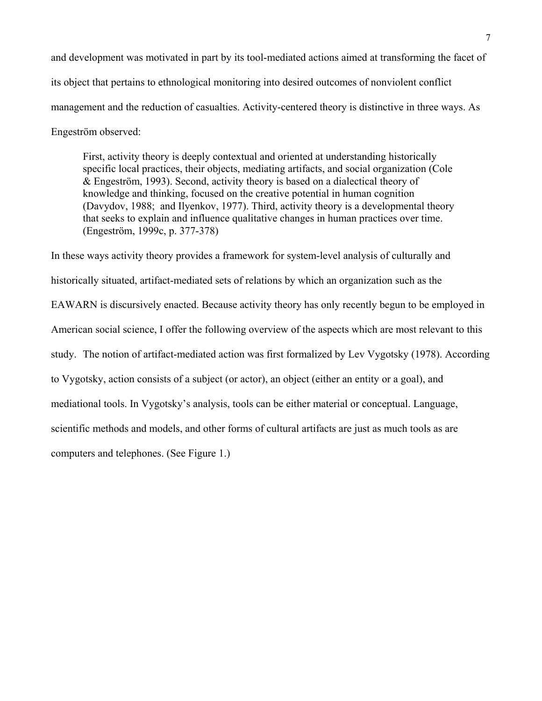and development was motivated in part by its tool-mediated actions aimed at transforming the facet of its object that pertains to ethnological monitoring into desired outcomes of nonviolent conflict management and the reduction of casualties. Activity-centered theory is distinctive in three ways. As Engeström observed:

First, activity theory is deeply contextual and oriented at understanding historically specific local practices, their objects, mediating artifacts, and social organization (Cole & Engeström, 1993). Second, activity theory is based on a dialectical theory of knowledge and thinking, focused on the creative potential in human cognition (Davydov, 1988; and Ilyenkov, 1977). Third, activity theory is a developmental theory that seeks to explain and influence qualitative changes in human practices over time. (Engeström, 1999c, p. 377-378)

In these ways activity theory provides a framework for system-level analysis of culturally and historically situated, artifact-mediated sets of relations by which an organization such as the EAWARN is discursively enacted. Because activity theory has only recently begun to be employed in American social science, I offer the following overview of the aspects which are most relevant to this study. The notion of artifact-mediated action was first formalized by Lev Vygotsky (1978). According to Vygotsky, action consists of a subject (or actor), an object (either an entity or a goal), and mediational tools. In Vygotsky's analysis, tools can be either material or conceptual. Language, scientific methods and models, and other forms of cultural artifacts are just as much tools as are computers and telephones. (See Figure 1.)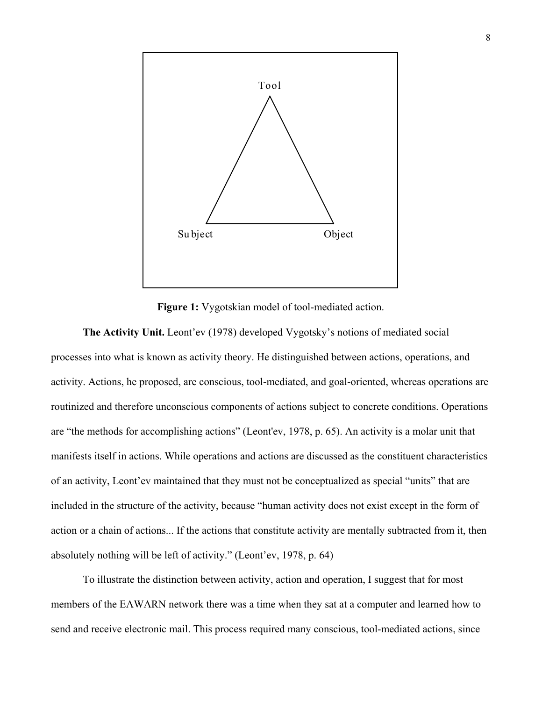

**Figure 1:** Vygotskian model of tool-mediated action.

**The Activity Unit.** Leont'ev (1978) developed Vygotsky's notions of mediated social processes into what is known as activity theory. He distinguished between actions, operations, and activity. Actions, he proposed, are conscious, tool-mediated, and goal-oriented, whereas operations are routinized and therefore unconscious components of actions subject to concrete conditions. Operations are "the methods for accomplishing actions" (Leont'ev, 1978, p. 65). An activity is a molar unit that manifests itself in actions. While operations and actions are discussed as the constituent characteristics of an activity, Leont'ev maintained that they must not be conceptualized as special "units" that are included in the structure of the activity, because "human activity does not exist except in the form of action or a chain of actions... If the actions that constitute activity are mentally subtracted from it, then absolutely nothing will be left of activity." (Leont'ev, 1978, p. 64)

To illustrate the distinction between activity, action and operation, I suggest that for most members of the EAWARN network there was a time when they sat at a computer and learned how to send and receive electronic mail. This process required many conscious, tool-mediated actions, since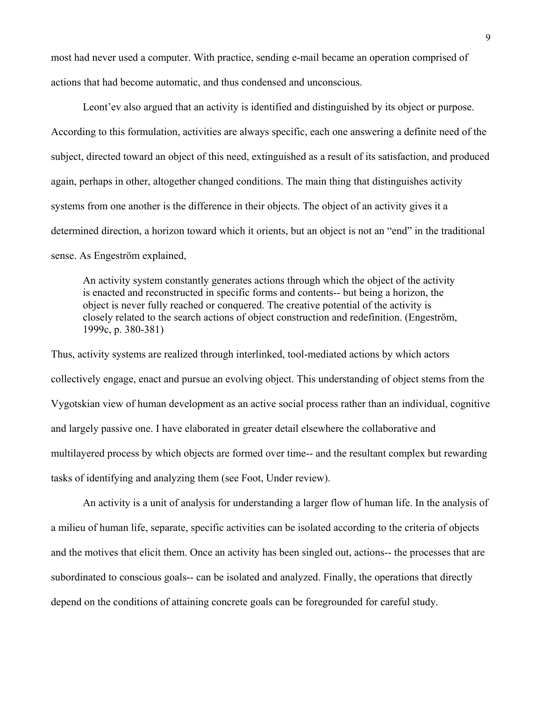most had never used a computer. With practice, sending e-mail became an operation comprised of actions that had become automatic, and thus condensed and unconscious.

 Leont'ev also argued that an activity is identified and distinguished by its object or purpose. According to this formulation, activities are always specific, each one answering a definite need of the subject, directed toward an object of this need, extinguished as a result of its satisfaction, and produced again, perhaps in other, altogether changed conditions. The main thing that distinguishes activity systems from one another is the difference in their objects. The object of an activity gives it a determined direction, a horizon toward which it orients, but an object is not an "end" in the traditional sense. As Engeström explained,

An activity system constantly generates actions through which the object of the activity is enacted and reconstructed in specific forms and contents-- but being a horizon, the object is never fully reached or conquered. The creative potential of the activity is closely related to the search actions of object construction and redefinition. (Engeström, 1999c, p. 380-381)

Thus, activity systems are realized through interlinked, tool-mediated actions by which actors collectively engage, enact and pursue an evolving object. This understanding of object stems from the Vygotskian view of human development as an active social process rather than an individual, cognitive and largely passive one. I have elaborated in greater detail elsewhere the collaborative and multilayered process by which objects are formed over time-- and the resultant complex but rewarding tasks of identifying and analyzing them (see Foot, Under review).

 An activity is a unit of analysis for understanding a larger flow of human life. In the analysis of a milieu of human life, separate, specific activities can be isolated according to the criteria of objects and the motives that elicit them. Once an activity has been singled out, actions-- the processes that are subordinated to conscious goals-- can be isolated and analyzed. Finally, the operations that directly depend on the conditions of attaining concrete goals can be foregrounded for careful study.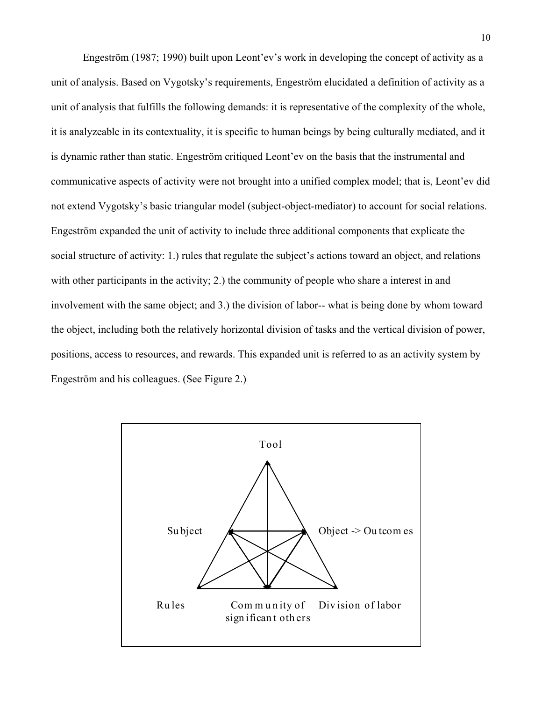Engeström (1987; 1990) built upon Leont'ev's work in developing the concept of activity as a unit of analysis. Based on Vygotsky's requirements, Engeström elucidated a definition of activity as a unit of analysis that fulfills the following demands: it is representative of the complexity of the whole, it is analyzeable in its contextuality, it is specific to human beings by being culturally mediated, and it is dynamic rather than static. Engeström critiqued Leont'ev on the basis that the instrumental and communicative aspects of activity were not brought into a unified complex model; that is, Leont'ev did not extend Vygotsky's basic triangular model (subject-object-mediator) to account for social relations. Engeström expanded the unit of activity to include three additional components that explicate the social structure of activity: 1.) rules that regulate the subject's actions toward an object, and relations with other participants in the activity; 2.) the community of people who share a interest in and involvement with the same object; and 3.) the division of labor-- what is being done by whom toward the object, including both the relatively horizontal division of tasks and the vertical division of power, positions, access to resources, and rewards. This expanded unit is referred to as an activity system by Engeström and his colleagues. (See Figure 2.)

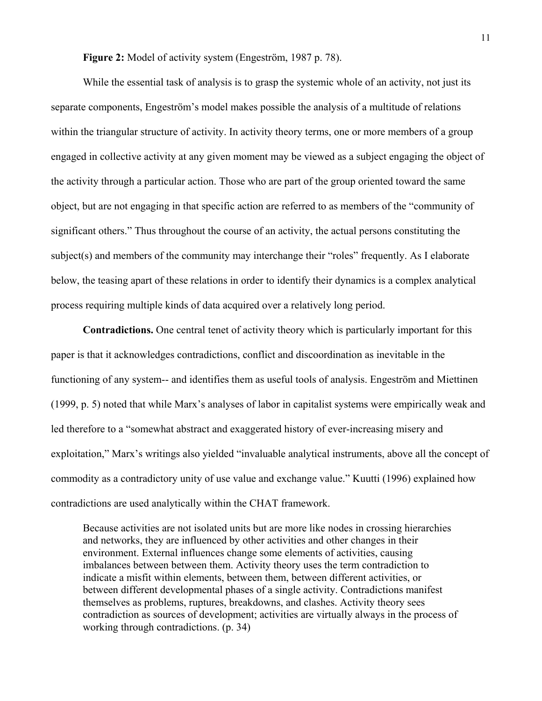**Figure 2:** Model of activity system (Engeström, 1987 p. 78).

 While the essential task of analysis is to grasp the systemic whole of an activity, not just its separate components, Engeström's model makes possible the analysis of a multitude of relations within the triangular structure of activity. In activity theory terms, one or more members of a group engaged in collective activity at any given moment may be viewed as a subject engaging the object of the activity through a particular action. Those who are part of the group oriented toward the same object, but are not engaging in that specific action are referred to as members of the "community of significant others." Thus throughout the course of an activity, the actual persons constituting the subject(s) and members of the community may interchange their "roles" frequently. As I elaborate below, the teasing apart of these relations in order to identify their dynamics is a complex analytical process requiring multiple kinds of data acquired over a relatively long period.

**Contradictions.** One central tenet of activity theory which is particularly important for this paper is that it acknowledges contradictions, conflict and discoordination as inevitable in the functioning of any system-- and identifies them as useful tools of analysis. Engeström and Miettinen (1999, p. 5) noted that while Marx's analyses of labor in capitalist systems were empirically weak and led therefore to a "somewhat abstract and exaggerated history of ever-increasing misery and exploitation," Marx's writings also yielded "invaluable analytical instruments, above all the concept of commodity as a contradictory unity of use value and exchange value." Kuutti (1996) explained how contradictions are used analytically within the CHAT framework.

Because activities are not isolated units but are more like nodes in crossing hierarchies and networks, they are influenced by other activities and other changes in their environment. External influences change some elements of activities, causing imbalances between between them. Activity theory uses the term contradiction to indicate a misfit within elements, between them, between different activities, or between different developmental phases of a single activity. Contradictions manifest themselves as problems, ruptures, breakdowns, and clashes. Activity theory sees contradiction as sources of development; activities are virtually always in the process of working through contradictions. (p. 34)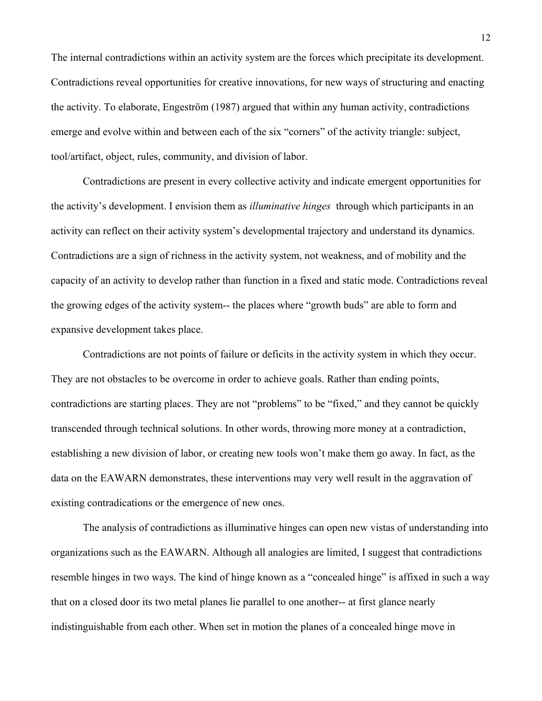The internal contradictions within an activity system are the forces which precipitate its development. Contradictions reveal opportunities for creative innovations, for new ways of structuring and enacting the activity. To elaborate, Engeström (1987) argued that within any human activity, contradictions emerge and evolve within and between each of the six "corners" of the activity triangle: subject, tool/artifact, object, rules, community, and division of labor.

 Contradictions are present in every collective activity and indicate emergent opportunities for the activity's development. I envision them as *illuminative hinges* through which participants in an activity can reflect on their activity system's developmental trajectory and understand its dynamics. Contradictions are a sign of richness in the activity system, not weakness, and of mobility and the capacity of an activity to develop rather than function in a fixed and static mode. Contradictions reveal the growing edges of the activity system-- the places where "growth buds" are able to form and expansive development takes place.

 Contradictions are not points of failure or deficits in the activity system in which they occur. They are not obstacles to be overcome in order to achieve goals. Rather than ending points, contradictions are starting places. They are not "problems" to be "fixed," and they cannot be quickly transcended through technical solutions. In other words, throwing more money at a contradiction, establishing a new division of labor, or creating new tools won't make them go away. In fact, as the data on the EAWARN demonstrates, these interventions may very well result in the aggravation of existing contradications or the emergence of new ones.

 The analysis of contradictions as illuminative hinges can open new vistas of understanding into organizations such as the EAWARN. Although all analogies are limited, I suggest that contradictions resemble hinges in two ways. The kind of hinge known as a "concealed hinge" is affixed in such a way that on a closed door its two metal planes lie parallel to one another-- at first glance nearly indistinguishable from each other. When set in motion the planes of a concealed hinge move in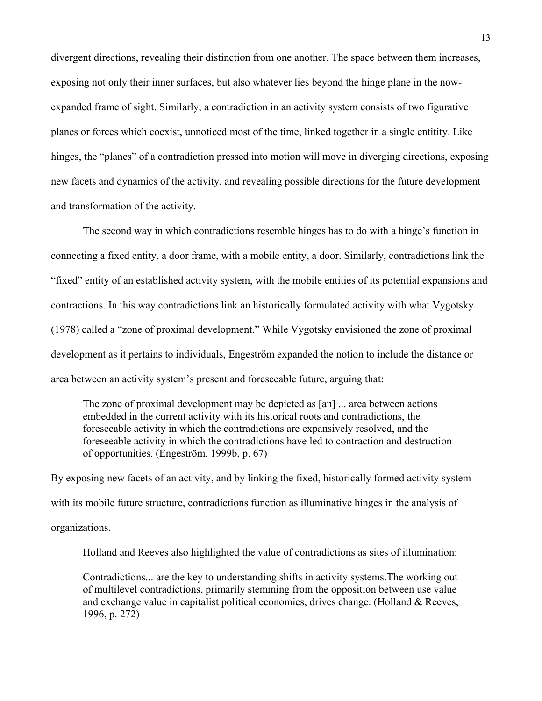divergent directions, revealing their distinction from one another. The space between them increases, exposing not only their inner surfaces, but also whatever lies beyond the hinge plane in the nowexpanded frame of sight. Similarly, a contradiction in an activity system consists of two figurative planes or forces which coexist, unnoticed most of the time, linked together in a single entitity. Like hinges, the "planes" of a contradiction pressed into motion will move in diverging directions, exposing new facets and dynamics of the activity, and revealing possible directions for the future development and transformation of the activity.

 The second way in which contradictions resemble hinges has to do with a hinge's function in connecting a fixed entity, a door frame, with a mobile entity, a door. Similarly, contradictions link the "fixed" entity of an established activity system, with the mobile entities of its potential expansions and contractions. In this way contradictions link an historically formulated activity with what Vygotsky (1978) called a "zone of proximal development." While Vygotsky envisioned the zone of proximal development as it pertains to individuals, Engeström expanded the notion to include the distance or area between an activity system's present and foreseeable future, arguing that:

The zone of proximal development may be depicted as [an] ... area between actions embedded in the current activity with its historical roots and contradictions, the foreseeable activity in which the contradictions are expansively resolved, and the foreseeable activity in which the contradictions have led to contraction and destruction of opportunities. (Engeström, 1999b, p. 67)

By exposing new facets of an activity, and by linking the fixed, historically formed activity system with its mobile future structure, contradictions function as illuminative hinges in the analysis of organizations.

Holland and Reeves also highlighted the value of contradictions as sites of illumination:

Contradictions... are the key to understanding shifts in activity systems.The working out of multilevel contradictions, primarily stemming from the opposition between use value and exchange value in capitalist political economies, drives change. (Holland & Reeves, 1996, p. 272)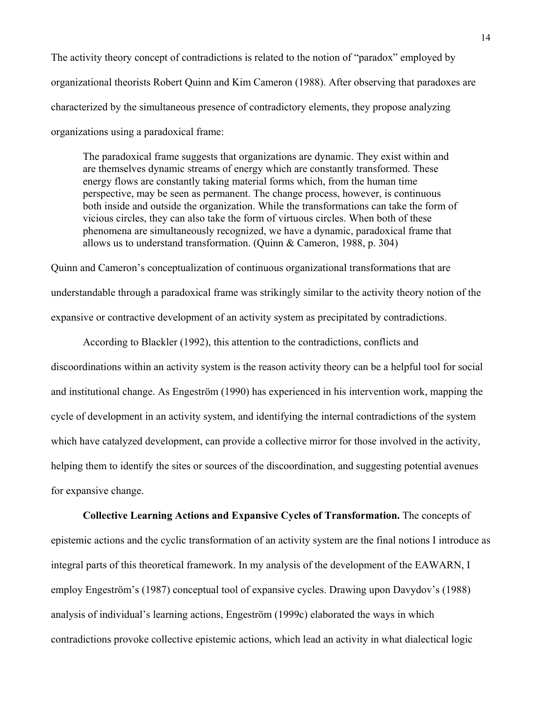The activity theory concept of contradictions is related to the notion of "paradox" employed by organizational theorists Robert Quinn and Kim Cameron (1988). After observing that paradoxes are characterized by the simultaneous presence of contradictory elements, they propose analyzing organizations using a paradoxical frame:

The paradoxical frame suggests that organizations are dynamic. They exist within and are themselves dynamic streams of energy which are constantly transformed. These energy flows are constantly taking material forms which, from the human time perspective, may be seen as permanent. The change process, however, is continuous both inside and outside the organization. While the transformations can take the form of vicious circles, they can also take the form of virtuous circles. When both of these phenomena are simultaneously recognized, we have a dynamic, paradoxical frame that allows us to understand transformation. (Quinn & Cameron, 1988, p. 304)

Quinn and Cameron's conceptualization of continuous organizational transformations that are understandable through a paradoxical frame was strikingly similar to the activity theory notion of the expansive or contractive development of an activity system as precipitated by contradictions.

 According to Blackler (1992), this attention to the contradictions, conflicts and discoordinations within an activity system is the reason activity theory can be a helpful tool for social and institutional change. As Engeström (1990) has experienced in his intervention work, mapping the cycle of development in an activity system, and identifying the internal contradictions of the system which have catalyzed development, can provide a collective mirror for those involved in the activity, helping them to identify the sites or sources of the discoordination, and suggesting potential avenues for expansive change.

**Collective Learning Actions and Expansive Cycles of Transformation.** The concepts of epistemic actions and the cyclic transformation of an activity system are the final notions I introduce as integral parts of this theoretical framework. In my analysis of the development of the EAWARN, I employ Engeström's (1987) conceptual tool of expansive cycles. Drawing upon Davydov's (1988) analysis of individual's learning actions, Engeström (1999c) elaborated the ways in which contradictions provoke collective epistemic actions, which lead an activity in what dialectical logic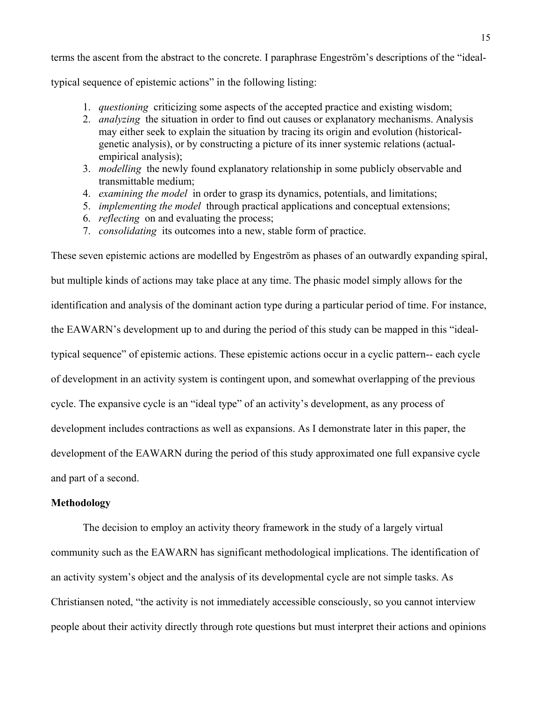terms the ascent from the abstract to the concrete. I paraphrase Engeström's descriptions of the "ideal-

typical sequence of epistemic actions" in the following listing:

- 1. *questioning* criticizing some aspects of the accepted practice and existing wisdom;
- 2. *analyzing* the situation in order to find out causes or explanatory mechanisms. Analysis may either seek to explain the situation by tracing its origin and evolution (historicalgenetic analysis), or by constructing a picture of its inner systemic relations (actualempirical analysis);
- 3. *modelling* the newly found explanatory relationship in some publicly observable and transmittable medium;
- 4. *examining the model* in order to grasp its dynamics, potentials, and limitations;
- 5. *implementing the model* through practical applications and conceptual extensions;
- 6. *reflecting* on and evaluating the process;
- 7. *consolidating* its outcomes into a new, stable form of practice.

These seven epistemic actions are modelled by Engeström as phases of an outwardly expanding spiral, but multiple kinds of actions may take place at any time. The phasic model simply allows for the identification and analysis of the dominant action type during a particular period of time. For instance, the EAWARN's development up to and during the period of this study can be mapped in this "idealtypical sequence" of epistemic actions. These epistemic actions occur in a cyclic pattern-- each cycle of development in an activity system is contingent upon, and somewhat overlapping of the previous cycle. The expansive cycle is an "ideal type" of an activity's development, as any process of development includes contractions as well as expansions. As I demonstrate later in this paper, the development of the EAWARN during the period of this study approximated one full expansive cycle and part of a second.

# **Methodology**

 The decision to employ an activity theory framework in the study of a largely virtual community such as the EAWARN has significant methodological implications. The identification of an activity system's object and the analysis of its developmental cycle are not simple tasks. As Christiansen noted, "the activity is not immediately accessible consciously, so you cannot interview people about their activity directly through rote questions but must interpret their actions and opinions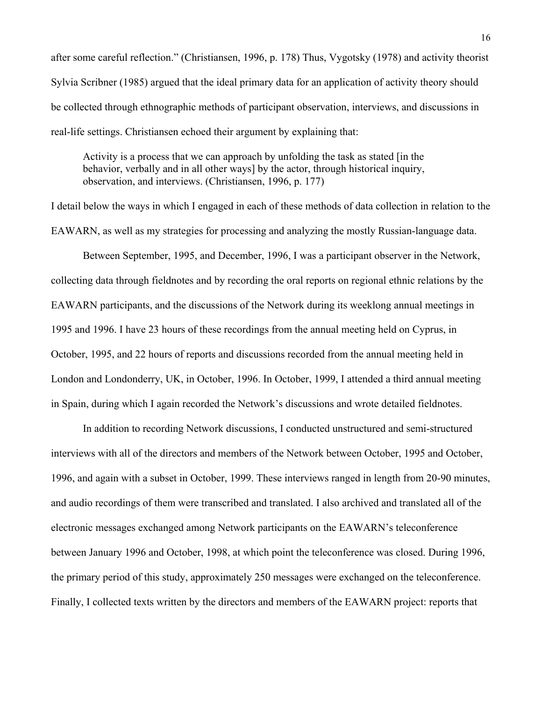after some careful reflection." (Christiansen, 1996, p. 178) Thus, Vygotsky (1978) and activity theorist Sylvia Scribner (1985) argued that the ideal primary data for an application of activity theory should be collected through ethnographic methods of participant observation, interviews, and discussions in real-life settings. Christiansen echoed their argument by explaining that:

Activity is a process that we can approach by unfolding the task as stated [in the behavior, verbally and in all other ways] by the actor, through historical inquiry, observation, and interviews. (Christiansen, 1996, p. 177)

I detail below the ways in which I engaged in each of these methods of data collection in relation to the EAWARN, as well as my strategies for processing and analyzing the mostly Russian-language data.

 Between September, 1995, and December, 1996, I was a participant observer in the Network, collecting data through fieldnotes and by recording the oral reports on regional ethnic relations by the EAWARN participants, and the discussions of the Network during its weeklong annual meetings in 1995 and 1996. I have 23 hours of these recordings from the annual meeting held on Cyprus, in October, 1995, and 22 hours of reports and discussions recorded from the annual meeting held in London and Londonderry, UK, in October, 1996. In October, 1999, I attended a third annual meeting in Spain, during which I again recorded the Network's discussions and wrote detailed fieldnotes.

 In addition to recording Network discussions, I conducted unstructured and semi-structured interviews with all of the directors and members of the Network between October, 1995 and October, 1996, and again with a subset in October, 1999. These interviews ranged in length from 20-90 minutes, and audio recordings of them were transcribed and translated. I also archived and translated all of the electronic messages exchanged among Network participants on the EAWARN's teleconference between January 1996 and October, 1998, at which point the teleconference was closed. During 1996, the primary period of this study, approximately 250 messages were exchanged on the teleconference. Finally, I collected texts written by the directors and members of the EAWARN project: reports that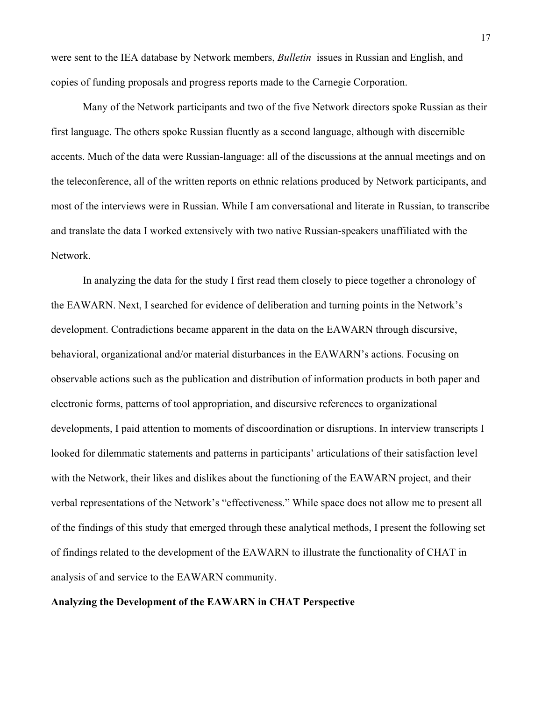were sent to the IEA database by Network members, *Bulletin* issues in Russian and English, and copies of funding proposals and progress reports made to the Carnegie Corporation.

 Many of the Network participants and two of the five Network directors spoke Russian as their first language. The others spoke Russian fluently as a second language, although with discernible accents. Much of the data were Russian-language: all of the discussions at the annual meetings and on the teleconference, all of the written reports on ethnic relations produced by Network participants, and most of the interviews were in Russian. While I am conversational and literate in Russian, to transcribe and translate the data I worked extensively with two native Russian-speakers unaffiliated with the Network.

 In analyzing the data for the study I first read them closely to piece together a chronology of the EAWARN. Next, I searched for evidence of deliberation and turning points in the Network's development. Contradictions became apparent in the data on the EAWARN through discursive, behavioral, organizational and/or material disturbances in the EAWARN's actions. Focusing on observable actions such as the publication and distribution of information products in both paper and electronic forms, patterns of tool appropriation, and discursive references to organizational developments, I paid attention to moments of discoordination or disruptions. In interview transcripts I looked for dilemmatic statements and patterns in participants' articulations of their satisfaction level with the Network, their likes and dislikes about the functioning of the EAWARN project, and their verbal representations of the Network's "effectiveness." While space does not allow me to present all of the findings of this study that emerged through these analytical methods, I present the following set of findings related to the development of the EAWARN to illustrate the functionality of CHAT in analysis of and service to the EAWARN community.

### **Analyzing the Development of the EAWARN in CHAT Perspective**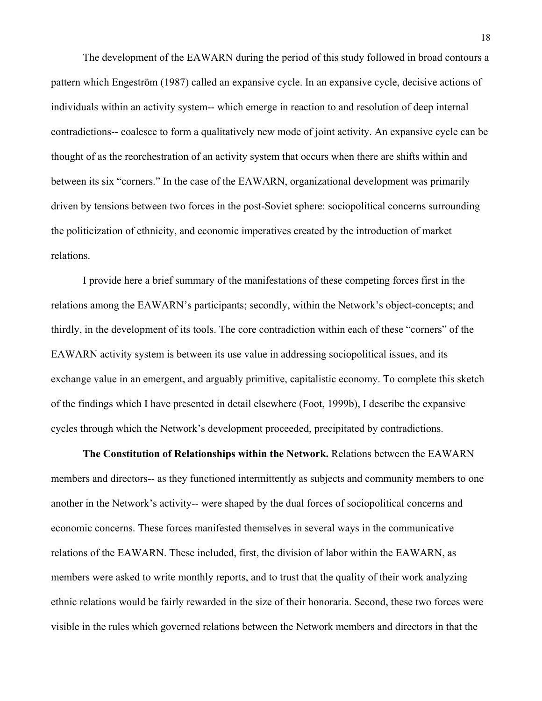The development of the EAWARN during the period of this study followed in broad contours a pattern which Engeström (1987) called an expansive cycle. In an expansive cycle, decisive actions of individuals within an activity system-- which emerge in reaction to and resolution of deep internal contradictions-- coalesce to form a qualitatively new mode of joint activity. An expansive cycle can be thought of as the reorchestration of an activity system that occurs when there are shifts within and between its six "corners." In the case of the EAWARN, organizational development was primarily driven by tensions between two forces in the post-Soviet sphere: sociopolitical concerns surrounding the politicization of ethnicity, and economic imperatives created by the introduction of market relations.

 I provide here a brief summary of the manifestations of these competing forces first in the relations among the EAWARN's participants; secondly, within the Network's object-concepts; and thirdly, in the development of its tools. The core contradiction within each of these "corners" of the EAWARN activity system is between its use value in addressing sociopolitical issues, and its exchange value in an emergent, and arguably primitive, capitalistic economy. To complete this sketch of the findings which I have presented in detail elsewhere (Foot, 1999b), I describe the expansive cycles through which the Network's development proceeded, precipitated by contradictions.

**The Constitution of Relationships within the Network.** Relations between the EAWARN members and directors-- as they functioned intermittently as subjects and community members to one another in the Network's activity-- were shaped by the dual forces of sociopolitical concerns and economic concerns. These forces manifested themselves in several ways in the communicative relations of the EAWARN. These included, first, the division of labor within the EAWARN, as members were asked to write monthly reports, and to trust that the quality of their work analyzing ethnic relations would be fairly rewarded in the size of their honoraria. Second, these two forces were visible in the rules which governed relations between the Network members and directors in that the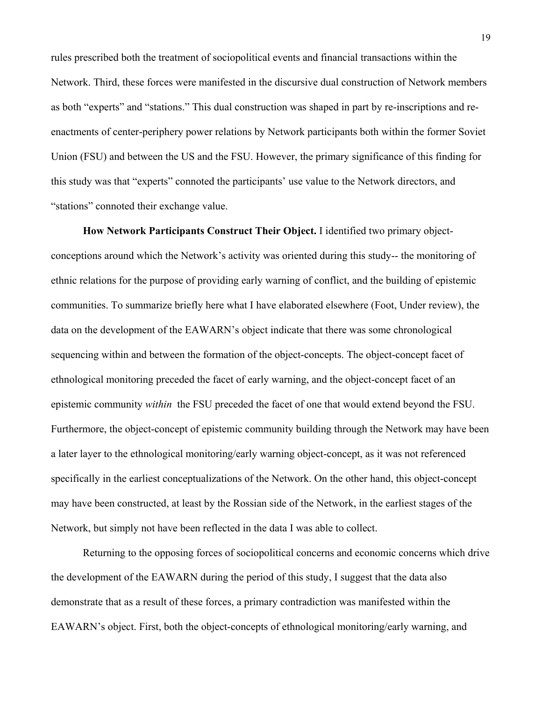rules prescribed both the treatment of sociopolitical events and financial transactions within the Network. Third, these forces were manifested in the discursive dual construction of Network members as both "experts" and "stations." This dual construction was shaped in part by re-inscriptions and reenactments of center-periphery power relations by Network participants both within the former Soviet Union (FSU) and between the US and the FSU. However, the primary significance of this finding for this study was that "experts" connoted the participants' use value to the Network directors, and "stations" connoted their exchange value.

 **How Network Participants Construct Their Object.** I identified two primary objectconceptions around which the Network's activity was oriented during this study-- the monitoring of ethnic relations for the purpose of providing early warning of conflict, and the building of epistemic communities. To summarize briefly here what I have elaborated elsewhere (Foot, Under review), the data on the development of the EAWARN's object indicate that there was some chronological sequencing within and between the formation of the object-concepts. The object-concept facet of ethnological monitoring preceded the facet of early warning, and the object-concept facet of an epistemic community *within* the FSU preceded the facet of one that would extend beyond the FSU. Furthermore, the object-concept of epistemic community building through the Network may have been a later layer to the ethnological monitoring/early warning object-concept, as it was not referenced specifically in the earliest conceptualizations of the Network. On the other hand, this object-concept may have been constructed, at least by the Rossian side of the Network, in the earliest stages of the Network, but simply not have been reflected in the data I was able to collect.

 Returning to the opposing forces of sociopolitical concerns and economic concerns which drive the development of the EAWARN during the period of this study, I suggest that the data also demonstrate that as a result of these forces, a primary contradiction was manifested within the EAWARN's object. First, both the object-concepts of ethnological monitoring/early warning, and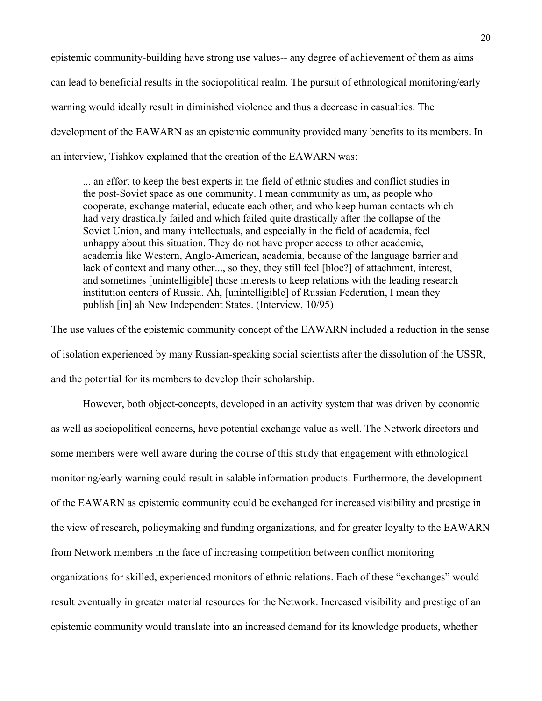epistemic community-building have strong use values-- any degree of achievement of them as aims can lead to beneficial results in the sociopolitical realm. The pursuit of ethnological monitoring/early warning would ideally result in diminished violence and thus a decrease in casualties. The development of the EAWARN as an epistemic community provided many benefits to its members. In an interview, Tishkov explained that the creation of the EAWARN was:

... an effort to keep the best experts in the field of ethnic studies and conflict studies in the post-Soviet space as one community. I mean community as um, as people who cooperate, exchange material, educate each other, and who keep human contacts which had very drastically failed and which failed quite drastically after the collapse of the Soviet Union, and many intellectuals, and especially in the field of academia, feel unhappy about this situation. They do not have proper access to other academic, academia like Western, Anglo-American, academia, because of the language barrier and lack of context and many other..., so they, they still feel [bloc?] of attachment, interest, and sometimes [unintelligible] those interests to keep relations with the leading research institution centers of Russia. Ah, [unintelligible] of Russian Federation, I mean they publish [in] ah New Independent States. (Interview, 10/95)

The use values of the epistemic community concept of the EAWARN included a reduction in the sense of isolation experienced by many Russian-speaking social scientists after the dissolution of the USSR, and the potential for its members to develop their scholarship.

 However, both object-concepts, developed in an activity system that was driven by economic as well as sociopolitical concerns, have potential exchange value as well. The Network directors and some members were well aware during the course of this study that engagement with ethnological monitoring/early warning could result in salable information products. Furthermore, the development of the EAWARN as epistemic community could be exchanged for increased visibility and prestige in the view of research, policymaking and funding organizations, and for greater loyalty to the EAWARN from Network members in the face of increasing competition between conflict monitoring organizations for skilled, experienced monitors of ethnic relations. Each of these "exchanges" would result eventually in greater material resources for the Network. Increased visibility and prestige of an epistemic community would translate into an increased demand for its knowledge products, whether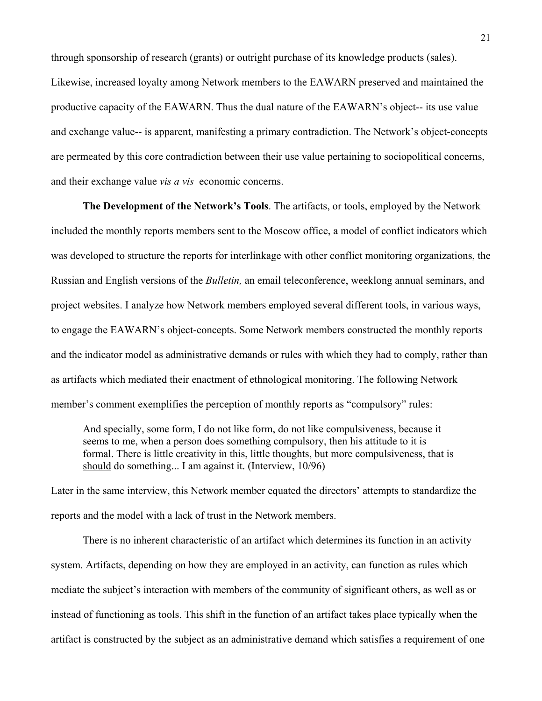through sponsorship of research (grants) or outright purchase of its knowledge products (sales). Likewise, increased loyalty among Network members to the EAWARN preserved and maintained the productive capacity of the EAWARN. Thus the dual nature of the EAWARN's object-- its use value and exchange value-- is apparent, manifesting a primary contradiction. The Network's object-concepts are permeated by this core contradiction between their use value pertaining to sociopolitical concerns, and their exchange value *vis a vis* economic concerns.

 **The Development of the Network's Tools**. The artifacts, or tools, employed by the Network included the monthly reports members sent to the Moscow office, a model of conflict indicators which was developed to structure the reports for interlinkage with other conflict monitoring organizations, the Russian and English versions of the *Bulletin,* an email teleconference, weeklong annual seminars, and project websites. I analyze how Network members employed several different tools, in various ways, to engage the EAWARN's object-concepts. Some Network members constructed the monthly reports and the indicator model as administrative demands or rules with which they had to comply, rather than as artifacts which mediated their enactment of ethnological monitoring. The following Network member's comment exemplifies the perception of monthly reports as "compulsory" rules:

And specially, some form, I do not like form, do not like compulsiveness, because it seems to me, when a person does something compulsory, then his attitude to it is formal. There is little creativity in this, little thoughts, but more compulsiveness, that is should do something... I am against it. (Interview, 10/96)

Later in the same interview, this Network member equated the directors' attempts to standardize the reports and the model with a lack of trust in the Network members.

 There is no inherent characteristic of an artifact which determines its function in an activity system. Artifacts, depending on how they are employed in an activity, can function as rules which mediate the subject's interaction with members of the community of significant others, as well as or instead of functioning as tools. This shift in the function of an artifact takes place typically when the artifact is constructed by the subject as an administrative demand which satisfies a requirement of one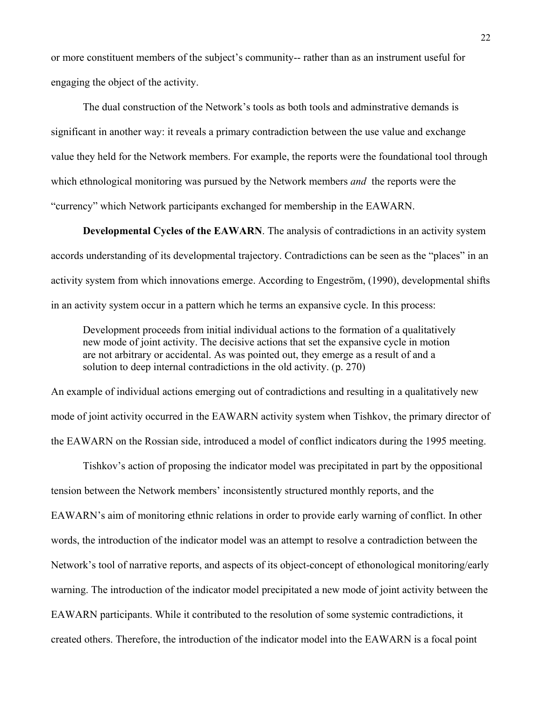or more constituent members of the subject's community-- rather than as an instrument useful for engaging the object of the activity.

 The dual construction of the Network's tools as both tools and adminstrative demands is significant in another way: it reveals a primary contradiction between the use value and exchange value they held for the Network members. For example, the reports were the foundational tool through which ethnological monitoring was pursued by the Network members *and* the reports were the "currency" which Network participants exchanged for membership in the EAWARN.

 **Developmental Cycles of the EAWARN**. The analysis of contradictions in an activity system accords understanding of its developmental trajectory. Contradictions can be seen as the "places" in an activity system from which innovations emerge. According to Engeström, (1990), developmental shifts in an activity system occur in a pattern which he terms an expansive cycle. In this process:

Development proceeds from initial individual actions to the formation of a qualitatively new mode of joint activity. The decisive actions that set the expansive cycle in motion are not arbitrary or accidental. As was pointed out, they emerge as a result of and a solution to deep internal contradictions in the old activity. (p. 270)

An example of individual actions emerging out of contradictions and resulting in a qualitatively new mode of joint activity occurred in the EAWARN activity system when Tishkov, the primary director of the EAWARN on the Rossian side, introduced a model of conflict indicators during the 1995 meeting.

 Tishkov's action of proposing the indicator model was precipitated in part by the oppositional tension between the Network members' inconsistently structured monthly reports, and the EAWARN's aim of monitoring ethnic relations in order to provide early warning of conflict. In other words, the introduction of the indicator model was an attempt to resolve a contradiction between the Network's tool of narrative reports, and aspects of its object-concept of ethonological monitoring/early warning. The introduction of the indicator model precipitated a new mode of joint activity between the EAWARN participants. While it contributed to the resolution of some systemic contradictions, it created others. Therefore, the introduction of the indicator model into the EAWARN is a focal point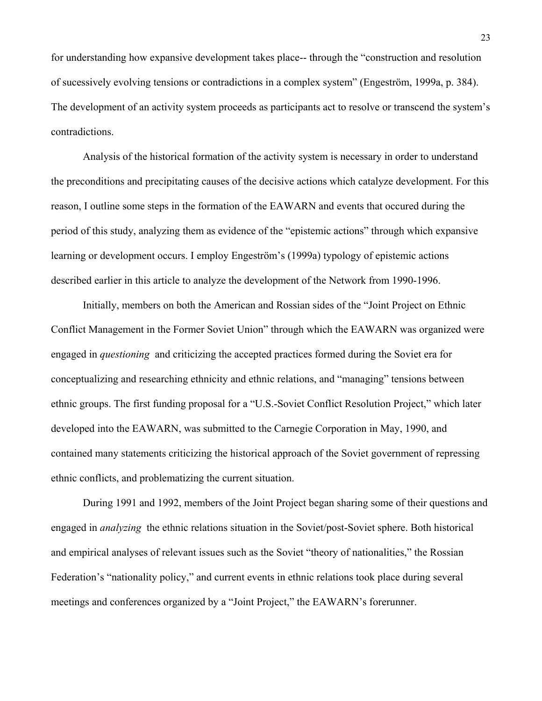for understanding how expansive development takes place-- through the "construction and resolution of sucessively evolving tensions or contradictions in a complex system" (Engeström, 1999a, p. 384). The development of an activity system proceeds as participants act to resolve or transcend the system's contradictions.

 Analysis of the historical formation of the activity system is necessary in order to understand the preconditions and precipitating causes of the decisive actions which catalyze development. For this reason, I outline some steps in the formation of the EAWARN and events that occured during the period of this study, analyzing them as evidence of the "epistemic actions" through which expansive learning or development occurs. I employ Engeström's (1999a) typology of epistemic actions described earlier in this article to analyze the development of the Network from 1990-1996.

 Initially, members on both the American and Rossian sides of the "Joint Project on Ethnic Conflict Management in the Former Soviet Union" through which the EAWARN was organized were engaged in *questioning* and criticizing the accepted practices formed during the Soviet era for conceptualizing and researching ethnicity and ethnic relations, and "managing" tensions between ethnic groups. The first funding proposal for a "U.S.-Soviet Conflict Resolution Project," which later developed into the EAWARN, was submitted to the Carnegie Corporation in May, 1990, and contained many statements criticizing the historical approach of the Soviet government of repressing ethnic conflicts, and problematizing the current situation.

 During 1991 and 1992, members of the Joint Project began sharing some of their questions and engaged in *analyzing* the ethnic relations situation in the Soviet/post-Soviet sphere. Both historical and empirical analyses of relevant issues such as the Soviet "theory of nationalities," the Rossian Federation's "nationality policy," and current events in ethnic relations took place during several meetings and conferences organized by a "Joint Project," the EAWARN's forerunner.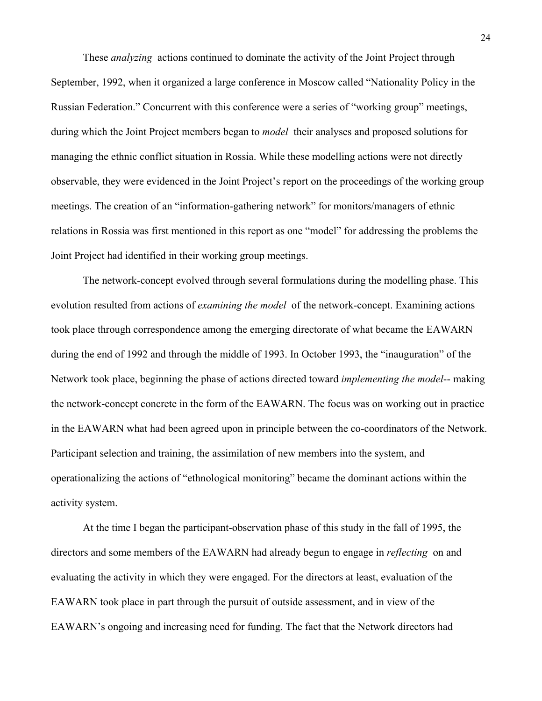These *analyzing* actions continued to dominate the activity of the Joint Project through September, 1992, when it organized a large conference in Moscow called "Nationality Policy in the Russian Federation." Concurrent with this conference were a series of "working group" meetings, during which the Joint Project members began to *model* their analyses and proposed solutions for managing the ethnic conflict situation in Rossia. While these modelling actions were not directly observable, they were evidenced in the Joint Project's report on the proceedings of the working group meetings. The creation of an "information-gathering network" for monitors/managers of ethnic relations in Rossia was first mentioned in this report as one "model" for addressing the problems the Joint Project had identified in their working group meetings.

 The network-concept evolved through several formulations during the modelling phase. This evolution resulted from actions of *examining the model* of the network-concept. Examining actions took place through correspondence among the emerging directorate of what became the EAWARN during the end of 1992 and through the middle of 1993. In October 1993, the "inauguration" of the Network took place, beginning the phase of actions directed toward *implementing the model*-- making the network-concept concrete in the form of the EAWARN. The focus was on working out in practice in the EAWARN what had been agreed upon in principle between the co-coordinators of the Network. Participant selection and training, the assimilation of new members into the system, and operationalizing the actions of "ethnological monitoring" became the dominant actions within the activity system.

 At the time I began the participant-observation phase of this study in the fall of 1995, the directors and some members of the EAWARN had already begun to engage in *reflecting* on and evaluating the activity in which they were engaged. For the directors at least, evaluation of the EAWARN took place in part through the pursuit of outside assessment, and in view of the EAWARN's ongoing and increasing need for funding. The fact that the Network directors had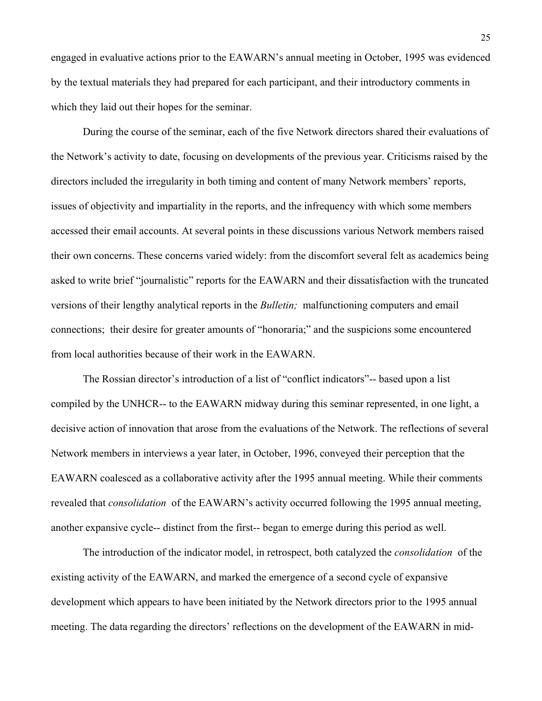engaged in evaluative actions prior to the EAWARN's annual meeting in October, 1995 was evidenced by the textual materials they had prepared for each participant, and their introductory comments in which they laid out their hopes for the seminar.

 During the course of the seminar, each of the five Network directors shared their evaluations of the Network's activity to date, focusing on developments of the previous year. Criticisms raised by the directors included the irregularity in both timing and content of many Network members' reports, issues of objectivity and impartiality in the reports, and the infrequency with which some members accessed their email accounts. At several points in these discussions various Network members raised their own concerns. These concerns varied widely: from the discomfort several felt as academics being asked to write brief "journalistic" reports for the EAWARN and their dissatisfaction with the truncated versions of their lengthy analytical reports in the *Bulletin;* malfunctioning computers and email connections; their desire for greater amounts of "honoraria;" and the suspicions some encountered from local authorities because of their work in the EAWARN.

 The Rossian director's introduction of a list of "conflict indicators"-- based upon a list compiled by the UNHCR-- to the EAWARN midway during this seminar represented, in one light, a decisive action of innovation that arose from the evaluations of the Network. The reflections of several Network members in interviews a year later, in October, 1996, conveyed their perception that the EAWARN coalesced as a collaborative activity after the 1995 annual meeting. While their comments revealed that *consolidation* of the EAWARN's activity occurred following the 1995 annual meeting, another expansive cycle-- distinct from the first-- began to emerge during this period as well.

 The introduction of the indicator model, in retrospect, both catalyzed the *consolidation* of the existing activity of the EAWARN, and marked the emergence of a second cycle of expansive development which appears to have been initiated by the Network directors prior to the 1995 annual meeting. The data regarding the directors' reflections on the development of the EAWARN in mid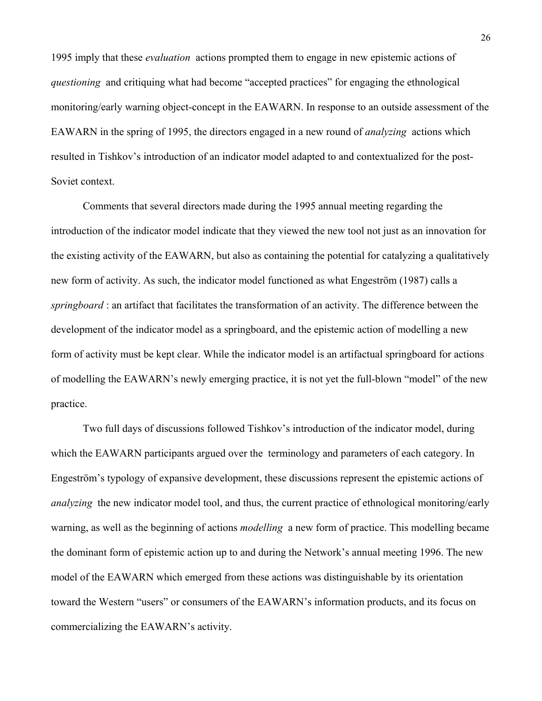1995 imply that these *evaluation* actions prompted them to engage in new epistemic actions of *questioning* and critiquing what had become "accepted practices" for engaging the ethnological monitoring/early warning object-concept in the EAWARN. In response to an outside assessment of the EAWARN in the spring of 1995, the directors engaged in a new round of *analyzing* actions which resulted in Tishkov's introduction of an indicator model adapted to and contextualized for the post-Soviet context.

 Comments that several directors made during the 1995 annual meeting regarding the introduction of the indicator model indicate that they viewed the new tool not just as an innovation for the existing activity of the EAWARN, but also as containing the potential for catalyzing a qualitatively new form of activity. As such, the indicator model functioned as what Engeström (1987) calls a *springboard* : an artifact that facilitates the transformation of an activity. The difference between the development of the indicator model as a springboard, and the epistemic action of modelling a new form of activity must be kept clear. While the indicator model is an artifactual springboard for actions of modelling the EAWARN's newly emerging practice, it is not yet the full-blown "model" of the new practice.

 Two full days of discussions followed Tishkov's introduction of the indicator model, during which the EAWARN participants argued over the terminology and parameters of each category. In Engeström's typology of expansive development, these discussions represent the epistemic actions of *analyzing* the new indicator model tool, and thus, the current practice of ethnological monitoring/early warning, as well as the beginning of actions *modelling* a new form of practice. This modelling became the dominant form of epistemic action up to and during the Network's annual meeting 1996. The new model of the EAWARN which emerged from these actions was distinguishable by its orientation toward the Western "users" or consumers of the EAWARN's information products, and its focus on commercializing the EAWARN's activity.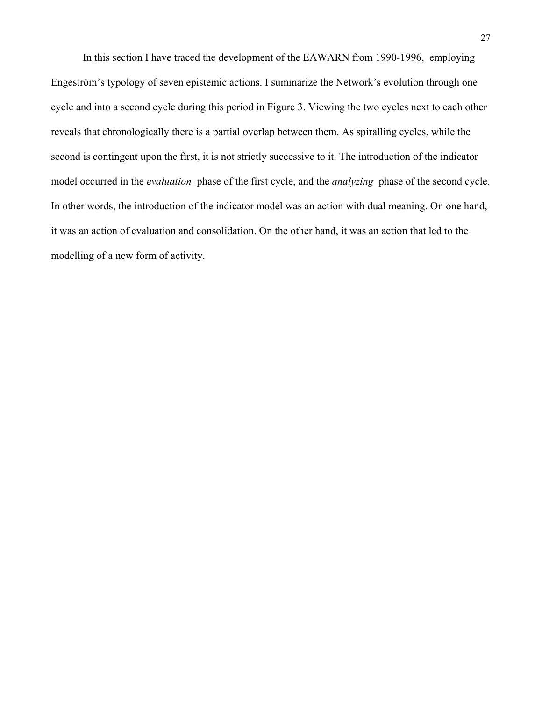In this section I have traced the development of the EAWARN from 1990-1996, employing Engeström's typology of seven epistemic actions. I summarize the Network's evolution through one cycle and into a second cycle during this period in Figure 3. Viewing the two cycles next to each other reveals that chronologically there is a partial overlap between them. As spiralling cycles, while the second is contingent upon the first, it is not strictly successive to it. The introduction of the indicator model occurred in the *evaluation* phase of the first cycle, and the *analyzing* phase of the second cycle. In other words, the introduction of the indicator model was an action with dual meaning. On one hand, it was an action of evaluation and consolidation. On the other hand, it was an action that led to the modelling of a new form of activity.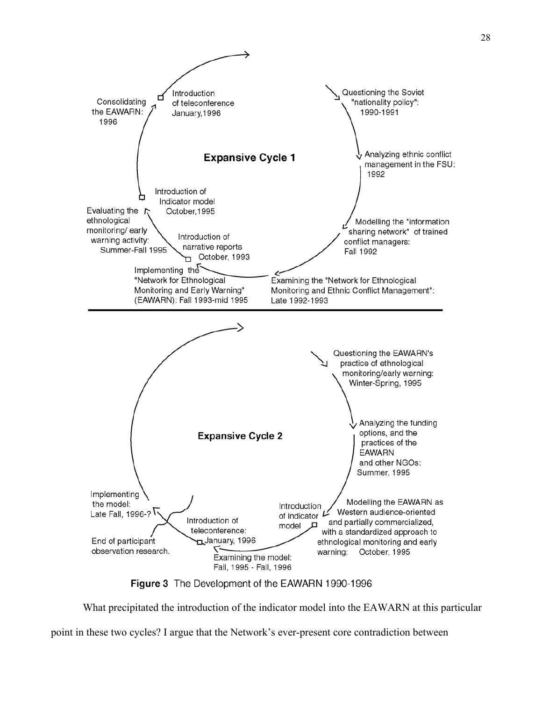

**Figure 3** The Development of the EAWARN 1990-1996

What precipitated the introduction of the indicator model into the EAWARN at this particular

point in these two cycles? I argue that the Network's ever-present core contradiction between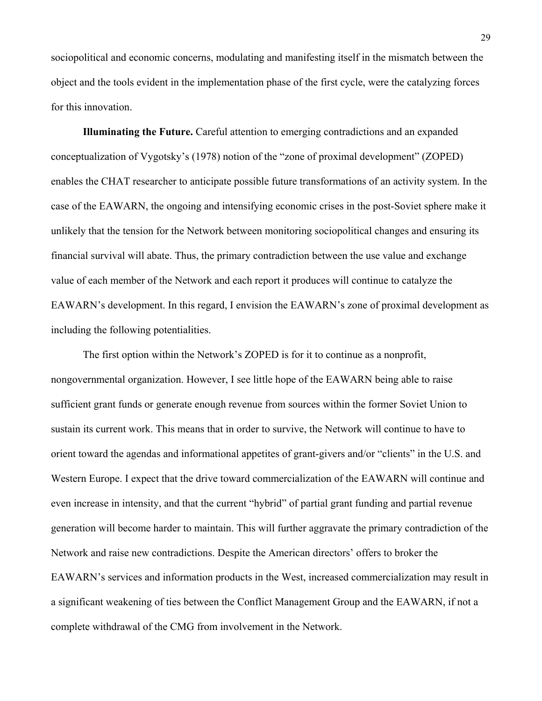sociopolitical and economic concerns, modulating and manifesting itself in the mismatch between the object and the tools evident in the implementation phase of the first cycle, were the catalyzing forces for this innovation.

**Illuminating the Future.** Careful attention to emerging contradictions and an expanded conceptualization of Vygotsky's (1978) notion of the "zone of proximal development" (ZOPED) enables the CHAT researcher to anticipate possible future transformations of an activity system. In the case of the EAWARN, the ongoing and intensifying economic crises in the post-Soviet sphere make it unlikely that the tension for the Network between monitoring sociopolitical changes and ensuring its financial survival will abate. Thus, the primary contradiction between the use value and exchange value of each member of the Network and each report it produces will continue to catalyze the EAWARN's development. In this regard, I envision the EAWARN's zone of proximal development as including the following potentialities.

 The first option within the Network's ZOPED is for it to continue as a nonprofit, nongovernmental organization. However, I see little hope of the EAWARN being able to raise sufficient grant funds or generate enough revenue from sources within the former Soviet Union to sustain its current work. This means that in order to survive, the Network will continue to have to orient toward the agendas and informational appetites of grant-givers and/or "clients" in the U.S. and Western Europe. I expect that the drive toward commercialization of the EAWARN will continue and even increase in intensity, and that the current "hybrid" of partial grant funding and partial revenue generation will become harder to maintain. This will further aggravate the primary contradiction of the Network and raise new contradictions. Despite the American directors' offers to broker the EAWARN's services and information products in the West, increased commercialization may result in a significant weakening of ties between the Conflict Management Group and the EAWARN, if not a complete withdrawal of the CMG from involvement in the Network.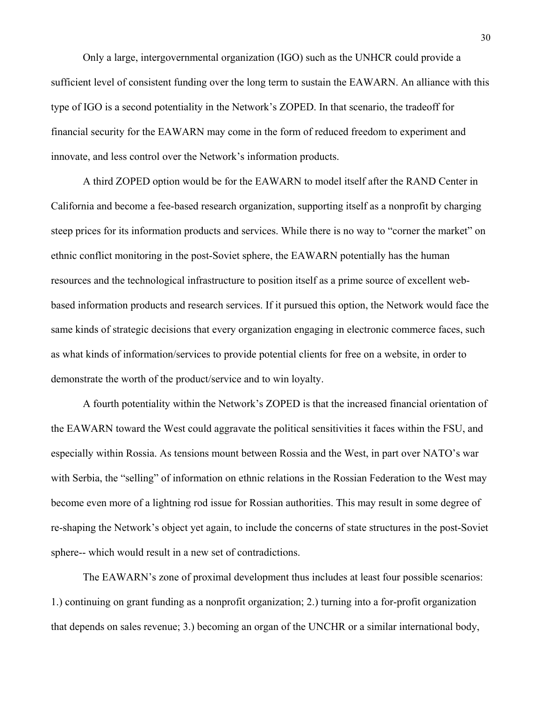Only a large, intergovernmental organization (IGO) such as the UNHCR could provide a sufficient level of consistent funding over the long term to sustain the EAWARN. An alliance with this type of IGO is a second potentiality in the Network's ZOPED. In that scenario, the tradeoff for financial security for the EAWARN may come in the form of reduced freedom to experiment and innovate, and less control over the Network's information products.

 A third ZOPED option would be for the EAWARN to model itself after the RAND Center in California and become a fee-based research organization, supporting itself as a nonprofit by charging steep prices for its information products and services. While there is no way to "corner the market" on ethnic conflict monitoring in the post-Soviet sphere, the EAWARN potentially has the human resources and the technological infrastructure to position itself as a prime source of excellent webbased information products and research services. If it pursued this option, the Network would face the same kinds of strategic decisions that every organization engaging in electronic commerce faces, such as what kinds of information/services to provide potential clients for free on a website, in order to demonstrate the worth of the product/service and to win loyalty.

 A fourth potentiality within the Network's ZOPED is that the increased financial orientation of the EAWARN toward the West could aggravate the political sensitivities it faces within the FSU, and especially within Rossia. As tensions mount between Rossia and the West, in part over NATO's war with Serbia, the "selling" of information on ethnic relations in the Rossian Federation to the West may become even more of a lightning rod issue for Rossian authorities. This may result in some degree of re-shaping the Network's object yet again, to include the concerns of state structures in the post-Soviet sphere-- which would result in a new set of contradictions.

 The EAWARN's zone of proximal development thus includes at least four possible scenarios: 1.) continuing on grant funding as a nonprofit organization; 2.) turning into a for-profit organization that depends on sales revenue; 3.) becoming an organ of the UNCHR or a similar international body,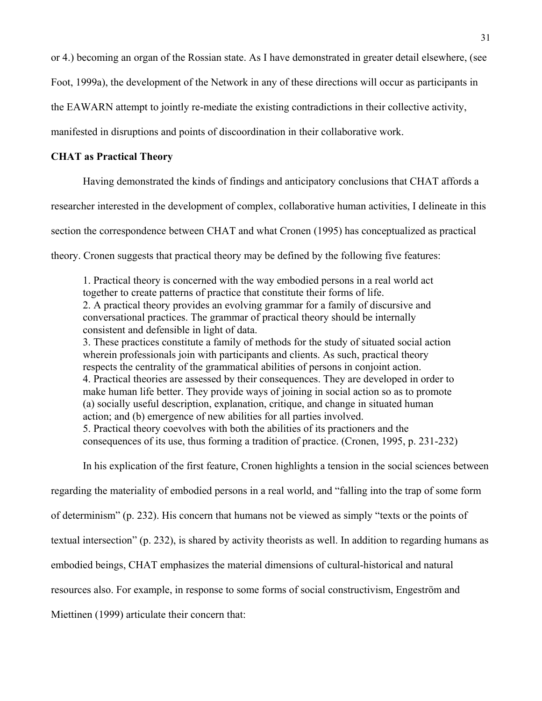or 4.) becoming an organ of the Rossian state. As I have demonstrated in greater detail elsewhere, (see

Foot, 1999a), the development of the Network in any of these directions will occur as participants in

the EAWARN attempt to jointly re-mediate the existing contradictions in their collective activity,

manifested in disruptions and points of discoordination in their collaborative work.

## **CHAT as Practical Theory**

Having demonstrated the kinds of findings and anticipatory conclusions that CHAT affords a

researcher interested in the development of complex, collaborative human activities, I delineate in this

section the correspondence between CHAT and what Cronen (1995) has conceptualized as practical

theory. Cronen suggests that practical theory may be defined by the following five features:

1. Practical theory is concerned with the way embodied persons in a real world act together to create patterns of practice that constitute their forms of life. 2. A practical theory provides an evolving grammar for a family of discursive and conversational practices. The grammar of practical theory should be internally consistent and defensible in light of data.

3. These practices constitute a family of methods for the study of situated social action wherein professionals join with participants and clients. As such, practical theory respects the centrality of the grammatical abilities of persons in conjoint action. 4. Practical theories are assessed by their consequences. They are developed in order to make human life better. They provide ways of joining in social action so as to promote (a) socially useful description, explanation, critique, and change in situated human action; and (b) emergence of new abilities for all parties involved. 5. Practical theory coevolves with both the abilities of its practioners and the consequences of its use, thus forming a tradition of practice. (Cronen, 1995, p. 231-232)

In his explication of the first feature, Cronen highlights a tension in the social sciences between

regarding the materiality of embodied persons in a real world, and "falling into the trap of some form

of determinism" (p. 232). His concern that humans not be viewed as simply "texts or the points of

textual intersection" (p. 232), is shared by activity theorists as well. In addition to regarding humans as

embodied beings, CHAT emphasizes the material dimensions of cultural-historical and natural

resources also. For example, in response to some forms of social constructivism, Engeström and

Miettinen (1999) articulate their concern that: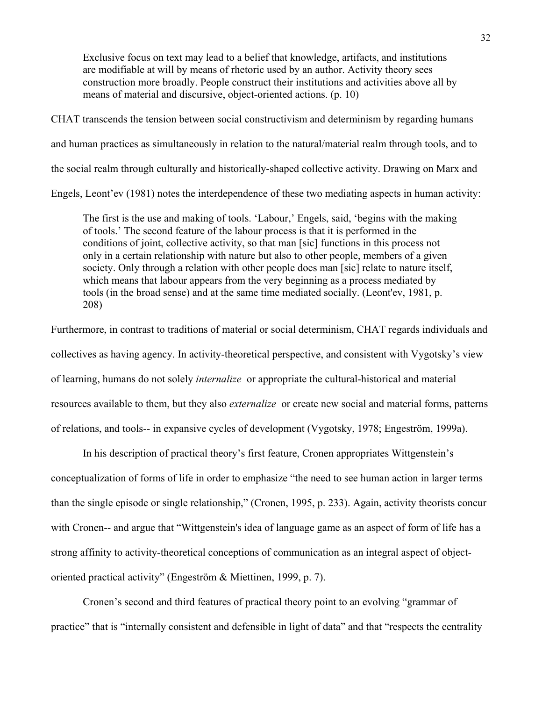Exclusive focus on text may lead to a belief that knowledge, artifacts, and institutions are modifiable at will by means of rhetoric used by an author. Activity theory sees construction more broadly. People construct their institutions and activities above all by means of material and discursive, object-oriented actions. (p. 10)

CHAT transcends the tension between social constructivism and determinism by regarding humans and human practices as simultaneously in relation to the natural/material realm through tools, and to the social realm through culturally and historically-shaped collective activity. Drawing on Marx and Engels, Leont'ev (1981) notes the interdependence of these two mediating aspects in human activity:

The first is the use and making of tools. 'Labour,' Engels, said, 'begins with the making of tools.' The second feature of the labour process is that it is performed in the conditions of joint, collective activity, so that man [sic] functions in this process not only in a certain relationship with nature but also to other people, members of a given society. Only through a relation with other people does man [sic] relate to nature itself, which means that labour appears from the very beginning as a process mediated by tools (in the broad sense) and at the same time mediated socially. (Leont'ev, 1981, p. 208)

Furthermore, in contrast to traditions of material or social determinism, CHAT regards individuals and collectives as having agency. In activity-theoretical perspective, and consistent with Vygotsky's view of learning, humans do not solely *internalize* or appropriate the cultural-historical and material resources available to them, but they also *externalize* or create new social and material forms, patterns of relations, and tools-- in expansive cycles of development (Vygotsky, 1978; Engeström, 1999a).

 In his description of practical theory's first feature, Cronen appropriates Wittgenstein's conceptualization of forms of life in order to emphasize "the need to see human action in larger terms than the single episode or single relationship," (Cronen, 1995, p. 233). Again, activity theorists concur with Cronen-- and argue that "Wittgenstein's idea of language game as an aspect of form of life has a strong affinity to activity-theoretical conceptions of communication as an integral aspect of objectoriented practical activity" (Engeström & Miettinen, 1999, p. 7).

 Cronen's second and third features of practical theory point to an evolving "grammar of practice" that is "internally consistent and defensible in light of data" and that "respects the centrality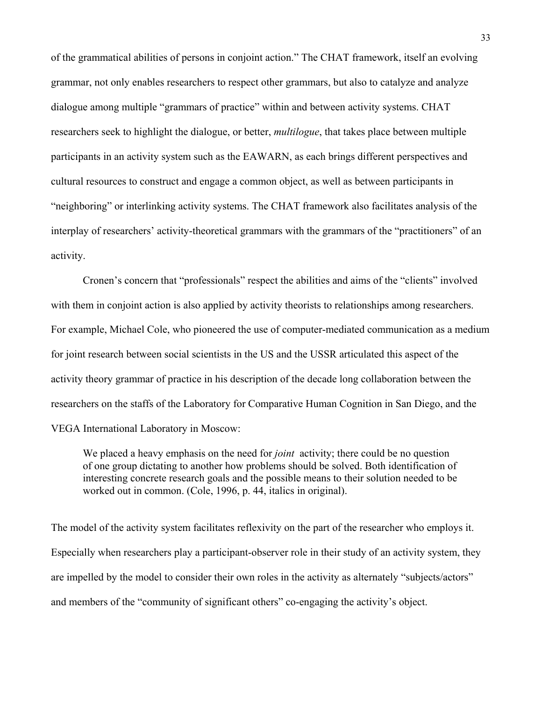of the grammatical abilities of persons in conjoint action." The CHAT framework, itself an evolving grammar, not only enables researchers to respect other grammars, but also to catalyze and analyze dialogue among multiple "grammars of practice" within and between activity systems. CHAT researchers seek to highlight the dialogue, or better, *multilogue*, that takes place between multiple participants in an activity system such as the EAWARN, as each brings different perspectives and cultural resources to construct and engage a common object, as well as between participants in "neighboring" or interlinking activity systems. The CHAT framework also facilitates analysis of the interplay of researchers' activity-theoretical grammars with the grammars of the "practitioners" of an activity.

 Cronen's concern that "professionals" respect the abilities and aims of the "clients" involved with them in conjoint action is also applied by activity theorists to relationships among researchers. For example, Michael Cole, who pioneered the use of computer-mediated communication as a medium for joint research between social scientists in the US and the USSR articulated this aspect of the activity theory grammar of practice in his description of the decade long collaboration between the researchers on the staffs of the Laboratory for Comparative Human Cognition in San Diego, and the VEGA International Laboratory in Moscow:

We placed a heavy emphasis on the need for *joint* activity; there could be no question of one group dictating to another how problems should be solved. Both identification of interesting concrete research goals and the possible means to their solution needed to be worked out in common. (Cole, 1996, p. 44, italics in original).

The model of the activity system facilitates reflexivity on the part of the researcher who employs it. Especially when researchers play a participant-observer role in their study of an activity system, they are impelled by the model to consider their own roles in the activity as alternately "subjects/actors" and members of the "community of significant others" co-engaging the activity's object.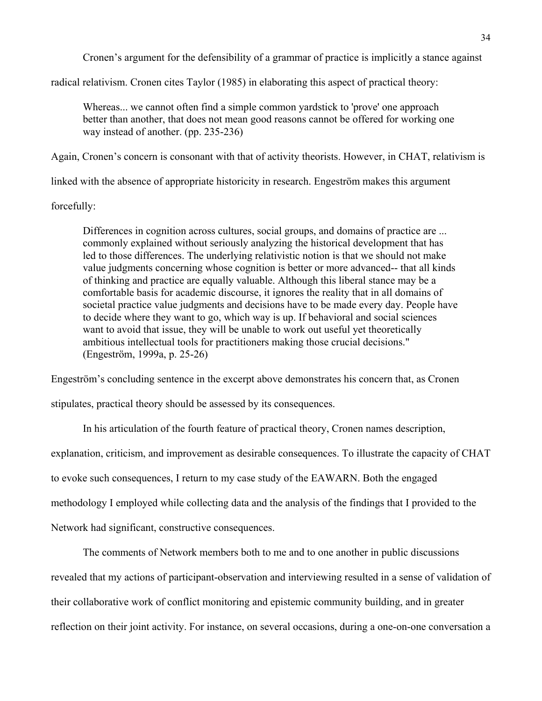Cronen's argument for the defensibility of a grammar of practice is implicitly a stance against

radical relativism. Cronen cites Taylor (1985) in elaborating this aspect of practical theory:

Whereas... we cannot often find a simple common yardstick to 'prove' one approach better than another, that does not mean good reasons cannot be offered for working one way instead of another. (pp. 235-236)

Again, Cronen's concern is consonant with that of activity theorists. However, in CHAT, relativism is

linked with the absence of appropriate historicity in research. Engeström makes this argument

forcefully:

Differences in cognition across cultures, social groups, and domains of practice are ... commonly explained without seriously analyzing the historical development that has led to those differences. The underlying relativistic notion is that we should not make value judgments concerning whose cognition is better or more advanced-- that all kinds of thinking and practice are equally valuable. Although this liberal stance may be a comfortable basis for academic discourse, it ignores the reality that in all domains of societal practice value judgments and decisions have to be made every day. People have to decide where they want to go, which way is up. If behavioral and social sciences want to avoid that issue, they will be unable to work out useful yet theoretically ambitious intellectual tools for practitioners making those crucial decisions." (Engeström, 1999a, p. 25-26)

Engeström's concluding sentence in the excerpt above demonstrates his concern that, as Cronen

stipulates, practical theory should be assessed by its consequences.

 In his articulation of the fourth feature of practical theory, Cronen names description, explanation, criticism, and improvement as desirable consequences. To illustrate the capacity of CHAT to evoke such consequences, I return to my case study of the EAWARN. Both the engaged methodology I employed while collecting data and the analysis of the findings that I provided to the Network had significant, constructive consequences.

 The comments of Network members both to me and to one another in public discussions revealed that my actions of participant-observation and interviewing resulted in a sense of validation of their collaborative work of conflict monitoring and epistemic community building, and in greater reflection on their joint activity. For instance, on several occasions, during a one-on-one conversation a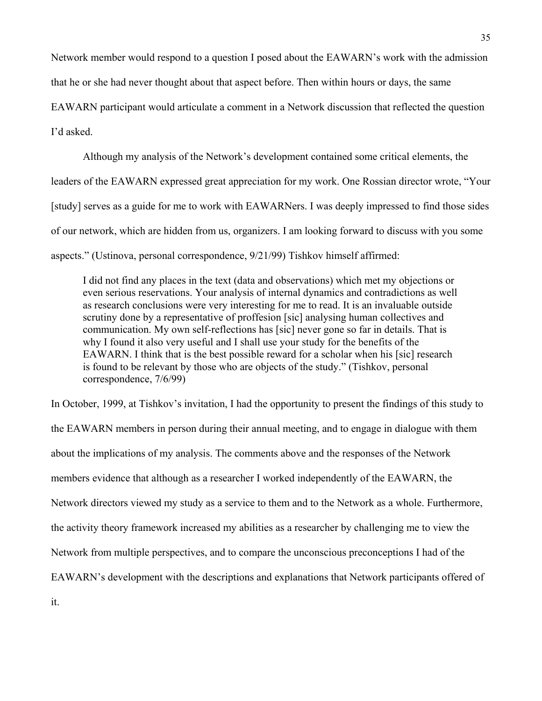Network member would respond to a question I posed about the EAWARN's work with the admission

that he or she had never thought about that aspect before. Then within hours or days, the same

EAWARN participant would articulate a comment in a Network discussion that reflected the question

I'd asked.

it.

Although my analysis of the Network's development contained some critical elements, the

leaders of the EAWARN expressed great appreciation for my work. One Rossian director wrote, "Your [study] serves as a guide for me to work with EAWARNers. I was deeply impressed to find those sides of our network, which are hidden from us, organizers. I am looking forward to discuss with you some aspects." (Ustinova, personal correspondence, 9/21/99) Tishkov himself affirmed:

I did not find any places in the text (data and observations) which met my objections or even serious reservations. Your analysis of internal dynamics and contradictions as well as research conclusions were very interesting for me to read. It is an invaluable outside scrutiny done by a representative of proffesion [sic] analysing human collectives and communication. My own self-reflections has [sic] never gone so far in details. That is why I found it also very useful and I shall use your study for the benefits of the EAWARN. I think that is the best possible reward for a scholar when his [sic] research is found to be relevant by those who are objects of the study." (Tishkov, personal correspondence, 7/6/99)

In October, 1999, at Tishkov's invitation, I had the opportunity to present the findings of this study to the EAWARN members in person during their annual meeting, and to engage in dialogue with them about the implications of my analysis. The comments above and the responses of the Network members evidence that although as a researcher I worked independently of the EAWARN, the Network directors viewed my study as a service to them and to the Network as a whole. Furthermore, the activity theory framework increased my abilities as a researcher by challenging me to view the Network from multiple perspectives, and to compare the unconscious preconceptions I had of the EAWARN's development with the descriptions and explanations that Network participants offered of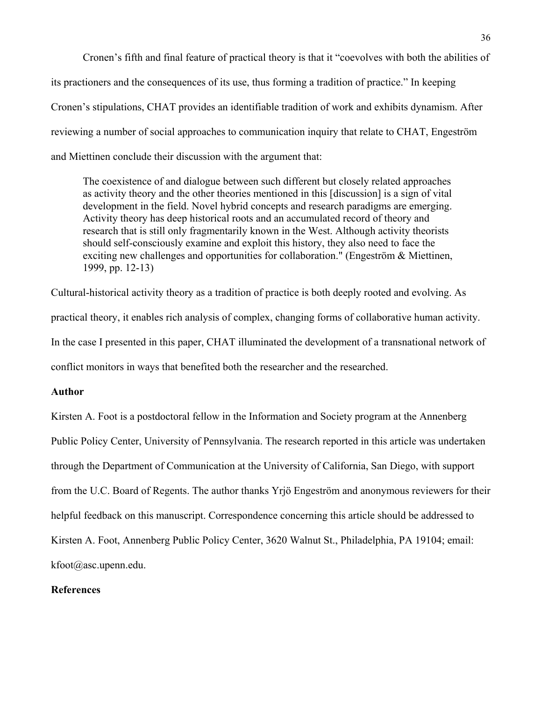Cronen's fifth and final feature of practical theory is that it "coevolves with both the abilities of its practioners and the consequences of its use, thus forming a tradition of practice." In keeping Cronen's stipulations, CHAT provides an identifiable tradition of work and exhibits dynamism. After reviewing a number of social approaches to communication inquiry that relate to CHAT, Engeström and Miettinen conclude their discussion with the argument that:

The coexistence of and dialogue between such different but closely related approaches as activity theory and the other theories mentioned in this [discussion] is a sign of vital development in the field. Novel hybrid concepts and research paradigms are emerging. Activity theory has deep historical roots and an accumulated record of theory and research that is still only fragmentarily known in the West. Although activity theorists should self-consciously examine and exploit this history, they also need to face the exciting new challenges and opportunities for collaboration." (Engeström & Miettinen, 1999, pp. 12-13)

Cultural-historical activity theory as a tradition of practice is both deeply rooted and evolving. As practical theory, it enables rich analysis of complex, changing forms of collaborative human activity. In the case I presented in this paper, CHAT illuminated the development of a transnational network of conflict monitors in ways that benefited both the researcher and the researched.

## **Author**

Kirsten A. Foot is a postdoctoral fellow in the Information and Society program at the Annenberg Public Policy Center, University of Pennsylvania. The research reported in this article was undertaken through the Department of Communication at the University of California, San Diego, with support from the U.C. Board of Regents. The author thanks Yrjö Engeström and anonymous reviewers for their helpful feedback on this manuscript. Correspondence concerning this article should be addressed to Kirsten A. Foot, Annenberg Public Policy Center, 3620 Walnut St., Philadelphia, PA 19104; email: kfoot@asc.upenn.edu.

### **References**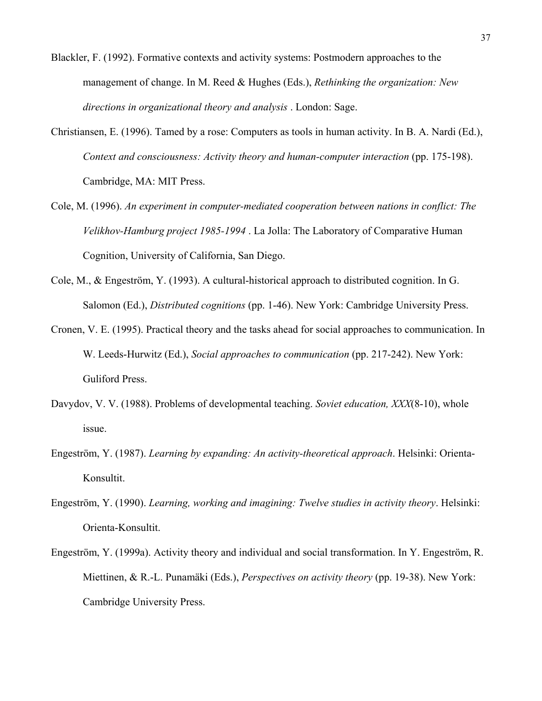- Blackler, F. (1992). Formative contexts and activity systems: Postmodern approaches to the management of change. In M. Reed & Hughes (Eds.), *Rethinking the organization: New directions in organizational theory and analysis* . London: Sage.
- Christiansen, E. (1996). Tamed by a rose: Computers as tools in human activity. In B. A. Nardi (Ed.), *Context and consciousness: Activity theory and human-computer interaction* (pp. 175-198). Cambridge, MA: MIT Press.
- Cole, M. (1996). *An experiment in computer-mediated cooperation between nations in conflict: The Velikhov-Hamburg project 1985-1994* . La Jolla: The Laboratory of Comparative Human Cognition, University of California, San Diego.
- Cole, M., & Engeström, Y. (1993). A cultural-historical approach to distributed cognition. In G. Salomon (Ed.), *Distributed cognitions* (pp. 1-46). New York: Cambridge University Press.
- Cronen, V. E. (1995). Practical theory and the tasks ahead for social approaches to communication. In W. Leeds-Hurwitz (Ed.), *Social approaches to communication* (pp. 217-242). New York: Guliford Press.
- Davydov, V. V. (1988). Problems of developmental teaching. *Soviet education, XXX*(8-10), whole issue.
- Engeström, Y. (1987). *Learning by expanding: An activity-theoretical approach*. Helsinki: Orienta-Konsultit.
- Engeström, Y. (1990). *Learning, working and imagining: Twelve studies in activity theory*. Helsinki: Orienta-Konsultit.
- Engeström, Y. (1999a). Activity theory and individual and social transformation. In Y. Engeström, R. Miettinen, & R.-L. Punamäki (Eds.), *Perspectives on activity theory* (pp. 19-38). New York: Cambridge University Press.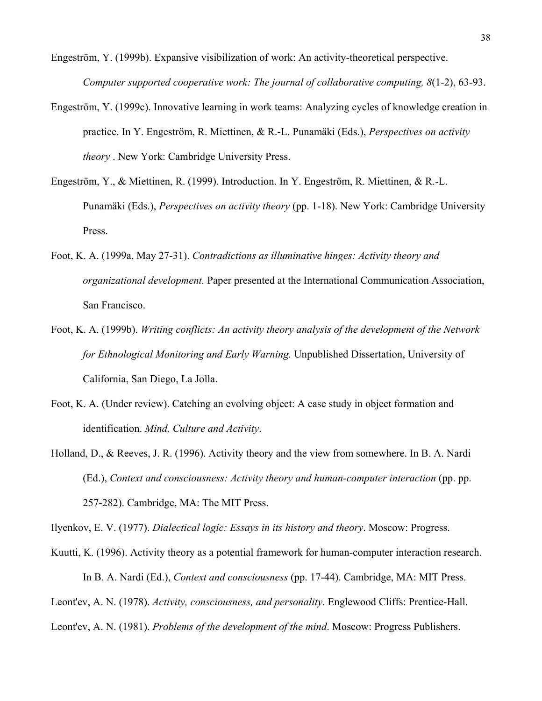- Engeström, Y. (1999b). Expansive visibilization of work: An activity-theoretical perspective. *Computer supported cooperative work: The journal of collaborative computing, 8*(1-2), 63-93.
- Engeström, Y. (1999c). Innovative learning in work teams: Analyzing cycles of knowledge creation in practice. In Y. Engeström, R. Miettinen, & R.-L. Punamäki (Eds.), *Perspectives on activity theory* . New York: Cambridge University Press.
- Engeström, Y., & Miettinen, R. (1999). Introduction. In Y. Engeström, R. Miettinen, & R.-L. Punamäki (Eds.), *Perspectives on activity theory* (pp. 1-18). New York: Cambridge University Press.
- Foot, K. A. (1999a, May 27-31). *Contradictions as illuminative hinges: Activity theory and organizational development.* Paper presented at the International Communication Association, San Francisco.
- Foot, K. A. (1999b). *Writing conflicts: An activity theory analysis of the development of the Network for Ethnological Monitoring and Early Warning.* Unpublished Dissertation, University of California, San Diego, La Jolla.
- Foot, K. A. (Under review). Catching an evolving object: A case study in object formation and identification. *Mind, Culture and Activity*.
- Holland, D., & Reeves, J. R. (1996). Activity theory and the view from somewhere. In B. A. Nardi (Ed.), *Context and consciousness: Activity theory and human-computer interaction* (pp. pp. 257-282). Cambridge, MA: The MIT Press.

Ilyenkov, E. V. (1977). *Dialectical logic: Essays in its history and theory*. Moscow: Progress.

Kuutti, K. (1996). Activity theory as a potential framework for human-computer interaction research. In B. A. Nardi (Ed.), *Context and consciousness* (pp. 17-44). Cambridge, MA: MIT Press. Leont'ev, A. N. (1978). *Activity, consciousness, and personality*. Englewood Cliffs: Prentice-Hall.

Leont'ev, A. N. (1981). *Problems of the development of the mind*. Moscow: Progress Publishers.